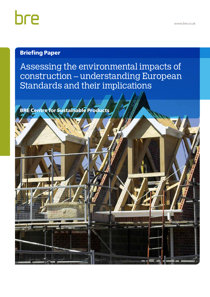# bre

### Briefing Paper

Assessing the environmental impacts of construction – understanding European Standards and their implications

BRE Centre for Sustainable Products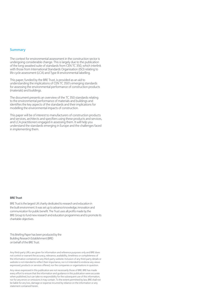#### **Summary**

The context for environmental assessment in the construction sector is undergoing considerable change. This is largely due to the publication of the long-awaited suite of standards from CEN TC 350, which interlink with those from International Standards Organisation (ISO) relating to life cycle assessment (LCA) and Type III environmental labelling.

This paper, funded by the BRE Trust, is provided as an aid to understanding the implications of CEN TC 350's emerging standards for assessing the environmental performance of construction products (materials) and buildings.

The document presents an overview of the TC 350 standards relating to the environmental performance of materials and buildings and identifies the key aspects of the standards and their implications for modelling the environmental impacts of construction.

This paper will be of interest to manufacturers of construction products and services, architects and specifiers using these products and services, and LCA practitioners engaged in assessing them. It will help you understand the standards emerging in Europe and the challenges faced in implementing them.

#### **BRE Trust**

BRE Trust is the largest UK charity dedicated to research and education in the built environment. It was set up to advance knowledge, innovation and communication for public benefit. The Trust uses all profits made by the BRE Group to fund new research and education programmes and to promote its charitable objectives.

This Briefing Paper has been produced by the Building Research Establishment (BRE) on behalf of the BRE Trust.

Any third-party URLs are given for information and reference purposes only and BRE does not control or warrant the accuracy, relevance, availability, timeliness or completeness of the information contained on any third-party website. Inclusion of any third-party details or website is not intended to reflect their importance, nor is it intended to endorse any views expressed, products or services offered, nor the companies or organisations in question.

Any views expressed in this publication are not necessarily those of BRE. BRE has made every effort to ensure that the information and guidance in this publication were accurate when published, but can take no responsibility for the subsequent use of this information, nor for any errors or omissions it may contain. To the extent permitted by law, BRE shall not be liable for any loss, damage or expense incurred by reliance on the information or any statement contained herein.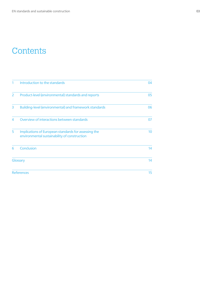## **Contents**

| 1              | Introduction to the standards                                                                        | 04 |
|----------------|------------------------------------------------------------------------------------------------------|----|
| $\overline{2}$ | Product-level (environmental) standards and reports                                                  | 05 |
| 3              | Building-level (environmental) and framework standards                                               | 06 |
| $\overline{A}$ | Overview of interactions between standards                                                           | 07 |
| 5              | Implications of European standards for assessing the<br>environmental sustainability of construction | 10 |
| 6              | Conclusion                                                                                           | 14 |
|                | Glossary                                                                                             | 14 |
|                | <b>References</b>                                                                                    | 15 |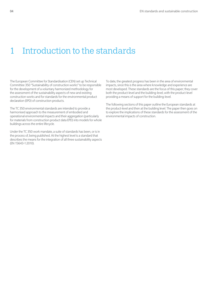### 1 Introduction to the standards

The European Committee for Standardisation (CEN) set up Technical Committee 350 "Sustainability of construction works" to be responsible for the development of a voluntary harmonized methodology for the assessment of the sustainability aspects of new and existing construction works and for standards for the environmental product declaration (EPD) of construction products.

The TC 350 environmental standards are intended to provide a harmonised approach to the measurement of embodied and operational environmental impacts and their aggregation (particularly for materials from construction product data EPD) into models for whole buildings across the entire lifecycle.

Under the TC 350 work mandate, a suite of standards has been, or is in the process of, being published. At the highest level is a standard that describes the means for the integration of all three sustainability aspects (EN 15643-1:2010).

To date, the greatest progress has been in the area of environmental impacts, since this is the area where knowledge and experience are most developed. These standards are the focus of this paper; they cover both the product-level and the building-level, with the product-level providing a means of support for the building-level.

The following sections of this paper outline the European standards at the product-level and then at the building level. The paper then goes on to explore the implications of these standards for the assessment of the environmental impacts of construction.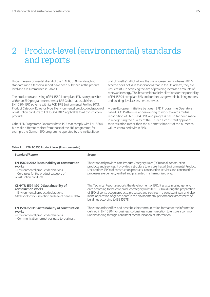### 2 Product-level (environmental) standards and reports

Under the environmental strand of the CEN TC 350 mandate, two standards and a technical report have been published at the product level and are summarised in Table 1.

The production and listing of EN 15804 compliant EPD is only possible within an EPD programme (scheme). BRE Global has established an EN 15804 EPD scheme with its PCR 'BRE Environmental Profiles 2013: Product Category Rules for Type III environmental product declaration of construction products to EN 15804:2012' applicable to all construction products.

Other EPD Programme Operators have PCR that comply with EN 15804 but make different choices from those of the BRE programme; for example the German EPD programme operated by the Institut Bauen

und Umwelt e.V. (IBU) allows the use of green tariffs whereas BRE's scheme does not, due to indications that, in the UK at least, they are unsuccessful in achieving the aim of providing increased amounts of renewable energy. This has considerable implications for the portability of EN 15804 compliant EPD and for their usage within building models and building-level assessment schemes.

A pan-European initiative between EPD Programme Operators called ECO Platform is endeavouring to work towards mutual recognition of EN 15804 EPD, and progress has so far been made in recognising the quality of the EPD via a consistent approach to verification rather than the automatic import of the numerical values contained within EPD.

#### **Table 1: CEN TC 350 Product Level (Environmental)**

| <b>Standard/Report</b>                                                                                                                                              | Scope                                                                                                                                                                                                                                                                                                                                                                                       |
|---------------------------------------------------------------------------------------------------------------------------------------------------------------------|---------------------------------------------------------------------------------------------------------------------------------------------------------------------------------------------------------------------------------------------------------------------------------------------------------------------------------------------------------------------------------------------|
| EN 15804:2012 Sustainability of construction<br>works<br>- Environmental product declarations<br>- Core rules for the product category of<br>construction products. | This standard provides core Product Category Rules (PCR) for all construction<br>products and services. It provides a structure to ensure that all Environmental Product<br>Declarations (EPD) of construction products, construction services and construction<br>processes are derived, verified and presented in a harmonised way.                                                       |
| CEN/TR 15941:2010 Sustainability of<br>construction works<br>- Environmental product declarations -<br>Methodology for selection and use of generic data            | This Technical Report supports the development of EPD. It assists in using generic<br>data according to the core product category rules (EN 15804) during the preparation<br>of EPD of construction products, processes and services in a consistent way, and also<br>in the application of generic data in the environmental performance assessment of<br>buildings according to EN 15978. |
| <b>EN 15942:2011 Sustainability of construction</b><br>works<br>- Environmental product declarations<br>- Communication format business-to-business.                | This standard specifies and describes the communication format for the information<br>defined in EN 15804 for business-to-business communication to ensure a common<br>understanding through consistent communication of information.                                                                                                                                                       |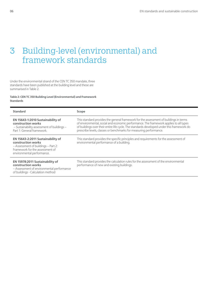## 3 Building-level (environmental) and framework standards

Under the environmental strand of the CEN TC 350 mandate, three standards have been published at the building level and these are summarised in Table 2.

**Table 2: CEN TC 350 Building Level (Environmental) and Framework Standards**

| <b>Standard</b>                                                                                                                                                 | Scope                                                                                                                                                                                                                                                                                                                                              |
|-----------------------------------------------------------------------------------------------------------------------------------------------------------------|----------------------------------------------------------------------------------------------------------------------------------------------------------------------------------------------------------------------------------------------------------------------------------------------------------------------------------------------------|
| EN 15643-1:2010 Sustainability of<br>construction works<br>- Sustainability assessment of buildings -<br>Part 1: General framework.                             | This standard provides the general framework for the assessment of buildings in terms<br>of environmental, social and economic performance. The framework applies to all types<br>of buildings over their entire life cycle. The standards developed under this framework do<br>prescribe levels, classes or benchmarks for measuring performance. |
| EN 15643-2:2011 Sustainability of<br>construction works<br>- Assessment of buildings - Part 2:<br>Framework for the assessment of<br>environmental performance. | This standard provides the specific principles and requirements for the assessment of<br>environmental performance of a building.                                                                                                                                                                                                                  |
| EN 15978:2011 Sustainability of<br>construction works<br>- Assessment of environmental performance<br>of buildings - Calculation method                         | This standard provides the calculation rules for the assessment of the environmental<br>performance of new and existing buildings.                                                                                                                                                                                                                 |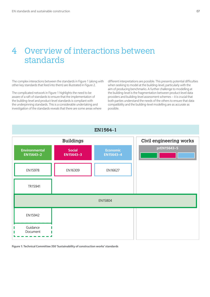### 4 Overview of interactions between standards

The complex interactions between the standards in Figure 1 (along with other key standards that feed into them) are illustrated in Figure 2.

The complicated network in Figure 1 highlights the need to be aware of a raft of standards to ensure that the implementation of the building-level and product-level standards is compliant with the underpinning standards. This is a considerable undertaking and investigation of the standards reveals that there are some areas where different interpretations are possible. This presents potential difficulties when seeking to model at the building-level, particularly with the aim of producing benchmarks. A further challenge to modelling at the building-level is the fragmentation between product-level data providers and building-level assessment schemes – it is crucial that both parties understand the needs of the others to ensure that data compatibility and the building-level modelling are as accurate as possible.



**Figure 1: Technical Committee 350 'Sustainability of construction works' standards**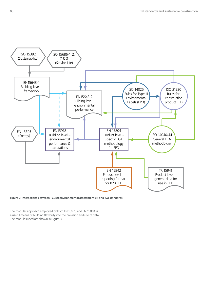

**Figure 2: Interactions between TC 350 environmental assessment EN and ISO standards**

The modular approach employed by both EN 15978 and EN 15804 is a useful means of building flexibility into the provision and use of data. The modules used are shown in Figure 3.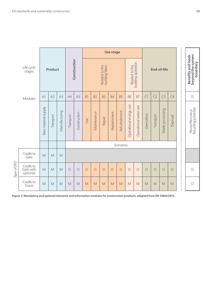|             |                                     |                     |                |               |            |                     | <b>Use stage</b> |                |                                   |             |               |                        |                       |                    |                |                  | п<br>п<br>п<br>л                                                       |                                                                                                                                                                                                                         |                                        |  |
|-------------|-------------------------------------|---------------------|----------------|---------------|------------|---------------------|------------------|----------------|-----------------------------------|-------------|---------------|------------------------|-----------------------|--------------------|----------------|------------------|------------------------------------------------------------------------|-------------------------------------------------------------------------------------------------------------------------------------------------------------------------------------------------------------------------|----------------------------------------|--|
|             | Life cycle<br>stages                |                     | <b>Product</b> |               |            | Construction        |                  |                | Related to the<br>building fabric |             |               | Related to the         | building operation    | <b>End-of-life</b> |                |                  | Benefits and loads<br>beyond the system<br>л<br>٠<br>п<br>л<br>J.<br>- |                                                                                                                                                                                                                         | boundary                               |  |
|             | Modules                             | A1                  | A2             | A3            | A4         | A <sub>5</sub>      | <b>B1</b>        | B <sub>2</sub> | B <sub>3</sub>                    | <b>B4</b>   | <b>B5</b>     | <b>B6</b>              | B7                    | C1                 | C <sub>2</sub> | C <sub>3</sub>   | C4                                                                     | J.<br>п<br>٠<br>п                                                                                                                                                                                                       | $\mathsf D$                            |  |
|             |                                     | Raw material supply | Transport      | Manufacturing | Transport  | Construction        | Use              | Maintenance    | Repair                            | Replacement | Refurbishment | Operational energy use | Operational water use | Demolition         | Transport      | Waste processing | Disposal                                                               | $\blacksquare$<br>$\blacksquare$<br>$\blacksquare$<br>п<br>п<br>п<br>п<br>п<br>$\blacksquare$<br>$\blacksquare$<br>$\blacksquare$<br>٠<br>$\mathbf{I}$<br>$\blacksquare$<br>J.<br>٠<br>J.<br>J.<br>$\blacksquare$<br>J. | Reuse/Recovery/<br>Recycling potential |  |
|             | Scenarios                           |                     |                |               |            |                     |                  |                |                                   |             |               |                        |                       |                    |                |                  |                                                                        |                                                                                                                                                                                                                         |                                        |  |
| Type of EPD | Cradle to<br>Gate                   | M                   | M              | M             |            | п<br>$\blacksquare$ |                  |                |                                   |             |               |                        |                       |                    |                |                  |                                                                        |                                                                                                                                                                                                                         |                                        |  |
|             | Cradle to<br>Gate with<br>option(s) | M                   | M              | M             | $\bigcirc$ | $\bigcirc$          | $\circ$          | $\circ$        | $\circ$                           | $\circ$     | $\circ$       | $\bigcirc$             | $\overline{O}$        | $\bigcirc$         | $\bigcirc$     | $\bigcirc$       | $\bigcirc$                                                             | ٠<br>$\blacksquare$<br>J.<br>J.<br>$\blacksquare$<br>п<br>٠                                                                                                                                                             | $\bigcirc$                             |  |
|             | Cradle to<br>Grave                  | M                   | M              | M             | M          | M                   | M                | M              | M                                 | M           | M             | M                      | M                     | M                  | M              | M                | M                                                                      | $\blacksquare$<br>$\blacksquare$<br>٠<br>J.                                                                                                                                                                             | $\bigcirc$                             |  |

**Figure 3: Mandatory and optional elements and information modules for construction products, adapted from EN 15804:2012.**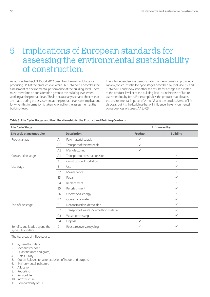### 5 Implications of European standards for assessing the environmental sustainability of construction.

As outlined earlier, EN 15804:2012 describes the methodology for producing EPD at the product-level while EN 15978:2011 describes the assessment of environmental performance at the building-level. There must, therefore, be consideration given to the building level when working at the product-level. This is because any scenario choices that are made during the assessment at the product-level have implications for when this information is taken forward for the assessment at the building-level.

This interdependency is demonstrated by the information provided in Table 4, which lists the life cycle stages described by 15804:2012 and 15978:2011 and shows whether the results for a stage are dictated at the product-level or at the building-level or, in the case of future use scenarios, by both. For example, it is the product that dictates the environmental impacts of A1 to A3 and the product's end of life disposal, but it is the building that will influence the environmental consequences of stages A4 to C3.

#### **Table 3: Life Cycle Stages and their Relationship to the Product and Building Contexts**

| <b>Life Cycle Stage</b>                          |                |                                          | Influenced by  |                 |  |  |
|--------------------------------------------------|----------------|------------------------------------------|----------------|-----------------|--|--|
| Life cycle stage (module)                        |                | <b>Description</b>                       | <b>Product</b> | <b>Building</b> |  |  |
| Product stage                                    | A1             | Raw material supply                      | $\checkmark$   |                 |  |  |
|                                                  | A <sub>2</sub> | Transport of the materials               | $\checkmark$   |                 |  |  |
|                                                  | A3             | Manufacturing                            | $\checkmark$   |                 |  |  |
| Construction stage                               | A4             | Transport to construction site           |                | $\checkmark$    |  |  |
|                                                  | A <sub>5</sub> | Construction, Installation               |                | $\checkmark$    |  |  |
| Use stage                                        | B1             | Use                                      |                | $\checkmark$    |  |  |
|                                                  | B <sub>2</sub> | Maintenance                              |                | ✓               |  |  |
|                                                  | B3             | Repair                                   |                | ✓               |  |  |
|                                                  | B4             | Replacement                              |                | $\checkmark$    |  |  |
|                                                  | B5             | Refurbishment                            |                | $\checkmark$    |  |  |
|                                                  | <b>B6</b>      | Operational energy                       |                | $\checkmark$    |  |  |
|                                                  | <b>B7</b>      | Operational water                        |                | $\checkmark$    |  |  |
| End of Life stage                                | C1             | Deconstruction, demolition               |                | $\checkmark$    |  |  |
|                                                  | C2             | Transport of wastes/ demolition material |                | $\checkmark$    |  |  |
|                                                  | C3             | Waste processing                         |                | ✓               |  |  |
|                                                  | C4             | Disposal                                 | $\checkmark$   |                 |  |  |
| Benefits and loads beyond the<br>system boundary | D              | Reuse, recovery, recycling               | $\checkmark$   | ✓               |  |  |

The key areas of influence are:

- 1. System Boundary
- 2. Scenarios/Models
- 3. Quantities (net and gross)
- 4. Data Quality
- 5. Cut off Rules (criteria for exclusion of inputs and outputs)
- 6. Environmental Indicators
- 7. Allocation
- 8. Reporting
- 9. Service Life
- 10. Infrastructure
- 11. Comparability of EPD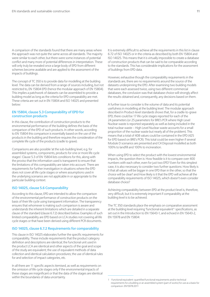A comparison of the standards found that there are many areas where the approach was not quite the same across all standards. The majority were similar to each other, but there were some instances of potential conflict and many more of potential differences in interpretation. These will only truly be revealed once a large body of EPD from different schemes become available and are applied to the assessment of the impacts of buildings.

The concept of TC 350 is to provide data for modelling at the building level. The data can be derived from a range of sources including, but not restricted to, EN 15804 EPD (hence the modular approach of EN 15804). This implies a patchwork of datasets can be assembled to provide a building model as long as the criteria for EPD comparability are met. These criteria are set out in EN 15804 and ISO 14025 and presented below:

#### **EN 15804, clause 5.3 Comparability of EPD for construction products**

In this clause, the contribution of construction products to the environmental performance of the building defines the basis of the comparison of the EPD of such products. In other words, according to EN 15804 this comparison is essentially based on the use of the products in the building and therefore requires the consideration of the complete life cycle of the products (cradle to grave).

Comparisons are also possible 'at the sub-building level, e.g. for assembled systems, components, products for one or more life cycle stages'. Clause 5.3 of EN 15804 lists conditions for this, along with the proviso that the information used is transparent to ensure that the limitations of this comparability are taken into account. There are requirements for further investigation in situations where the EPD does not cover all life cycle stages or where assumptions used in the underlying scenarios are not applicable in or appropriate to the particular building context.

#### **ISO 14025, clause 5.6 Comparability**

According to this clause, EPD are intended to allow the comparison of the environmental performance of construction products on the basis of their life cycle using transparent information. The transparency ensures that whomever is making such comparison is aware and understands the inherent limitations which are detailed in a separate clause of the standard (clause 6.7.2) described below. Examples of such limited comparability are EPD based on LCA studies not covering all life cycle stages or that have been derived using different PCR documents.

#### **ISO 14025, clause 6.7.2 Requirements for comparability**

This clause in ISO 14025 elaborates further the specific requirements for comparability. These include requirements that the product category definition and descriptions are identical; the functional unit used in the product LCA are identical and other aspects of the goal and scope of the study are equivalent; the use of equivalent methods of data collection and identical calculation procedures; the use of identical rules for and selection of impact categories, etc.

In all there are 11 specific aspects itemised, as well as requirements on the omission of life cycle stages only if the environmental impacts of these stages are insignificant or that the data of the stages are identical within the boundaries of data uncertainty.

It is extremely difficult to achieve all the requirements in this list in clause 6.72 of ISO 14025 or in the criteria as described by both EN 15804 and ISO 14025. This means that it is virtually impossible to create a database of construction products that can be said to be comparable according to the standards. This has considerable implications for the assessment of buildings from EPD data.

However, exhaustive though the comparability requirements in the standards are, there are no requirements around the source of the datasets underpinning the EPD. After examining two building models that were each assessed twice, using two different commercial databases, the conclusion was that database choice will strongly affect the results obtained and, consequently, any decisions based on them.

A further issue to consider is the volume of data and its potential usefulness in modelling at the building level. The modular approach described in Product-level standards shows that, for a cradle-to-grave EPD, there could be 17 life cycle stages reported for each of the 24 parameters (or 25 parameters for BRE's PCR where High Level Nuclear waste is reported separately as well as being included in the total nuclear waste – High Level Nuclear waste accounts for a small proportion of the nuclear waste but nearly all of the problem). This means that a total of 408 values could be contained in the EPD (425 for EPD based on BRE's PCR). This total could be even higher if several Module D scenarios are presented and C4 Disposal modelled as both 100% to landfill and 100% to incineration.

When using EPD to select the product with the lowest environmental impacts, the question then is: How feasible is it to compare over 400 numbers with each other, even for just two EPD? Even for this simplest case, it is also necessary to consider two further questions: How likely is it that all values will be bigger in one EPD than in the other, so that the choice will be clear? and How likely is it that the EPD will achieve all the comparability requirements of ISO 14025, which doesn't even consider database choice?

Achieving comparability between EPD at the product level is, therefore, very difficult, but it is extremely important if comparability at the building level is to be achieved.

The TC 350 standards place the emphasis on comparative assessment at the building level requiring 'functional equivalent'<sup>1</sup> specifications, as set out in the Introduction to EN 15643-1, and echoed in EN 15643-2, EN 15978 and EN 15804:

<sup>1</sup> Functional equivalent: quantified functional requirements and/or technical requirements for a building or an assembled system (part of works) for use as a basis for comparison. EN15978:2011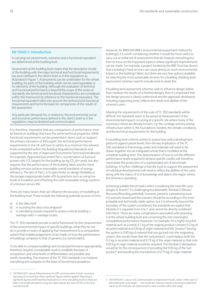#### **EN 15643-1: Introduction**

In carrying out assessments, scenarios and a functional equivalent are determined at the building level.

Assessment at the building level means that the descriptive model of the building with the major technical and functional requirements has been defined in the client's brief or in the regulations as illustrated in Figure 1. Assessments can be undertaken for the whole building, for parts of the building which can be used separately or for elements of the building. Although the evaluation of technical and functional performance is beyond the scope of this series of standards, the technical and functional characteristics are considered within this framework by reference to the functional equivalent. The functional equivalent takes into account the technical and functional requirements and forms the basis for comparisons of the results of the assessment.

Any particular demands for, or related to, the environmental, social and economic performance defined in the client's brief or in the regulations, may be declared and communicated.

It is, therefore, imperative that any comparisons of performance must be based on buildings that have the same technical properties. While functional requirements can be presented in terms such as 'support the primary education of 450 pupils', the technical performance requirements in the UK will have to satisfy as a minimum the relevant levels embedded within the Building Regulations/Standards and supported by the sets of Approved Documents/Technical Handbooks. For example: Approved Document Part L (conservation of fuel and power) sets CO<sub>2</sub> targets for the building (as kg  $CO<sub>2</sub>/(m<sup>2</sup>$  year), but also requires that the performance of the building fabric and the fixed building services achieve reasonable overall standards of energy efficiency. The aim of Part L is to place limits on design flexibility to discourage inappropriate trade-offs by practices such as using low levels of insulation and offsetting this with renewable energy systems of unknown service life.

There are many factors that can influence the accuracy of modelling at the building level. These include the following potential sources of error:

- a) in the data itself
- b) in rounding the data once analysed<sup>2</sup>
- c) in calculating masses required to assess a whole building  $+$ wastage rates + wastage routes.

The TC 350 standards provide a useful framework for the measurement of the environmental impact of specific buildings; what they do not do is provide a means of applying that measurement to a comparative system that enables judgements to be made on how the performance of buildings compares to that of generics (i.e. benchmarks).

To be able to compare buildings and reward performance appropriately, therefore, requires considerable work to establish the basis of comparison, and what levels of differentiation are possible and worth rewarding. The essence of the TC 350 standards is to measure everything and compare on the basis of functional equivalence.

However, for BREEAM (BRE's environmental assessment method for buildings), it is worth considering whether it would be more useful to carry out an initial set of assessments that do measure everything but then to focus on the important aspects where significant improvements can be made. For example, a project funded by the BRE Trust has shown that a building's fixed services can cause almost as much environmental impact as the building's fabric, but there are very few options available for selecting the most sustainable services for a building. Building-level assessment schemes need to include tools to assist this.

If building-level assessment schemes wish to influence design (rather than measure the results of a finished design), then it is important that the design process is clearly understood and the approach developed, including supporting tools, reflects the needs and abilities of the scheme's users.

Meeting the requirements of the suite of TC 350 standards will be difficult: the standards seem to be aimed at measurement of the environmental impacts occurring at a specific site where many of the necessary criteria are already known, e.g. the curtilage and any arising infrastructure within it, the foundations needed, the climatic conditions, and the technical requirements for the building.

If a building-level scheme wishes to assess how well a development performs against preset levels, then the key implication of the TC 350 standards is that energy, water and materials will need to be drawn together into an integrated whole that is modelled at the complete building level. The determination of how to set the different performance levels required to achieve specific credits will, therefore, necessitate the production of a sophisticated set of benchmark buildings. A further challenge is that the tools to support the assessment of individual developments will need to reflect the abilities of the users along with the status of LCA knowledge and data in the region where the scheme is operating.

Achieving suitable benchmarks when considering the main life cycle (stages A, B and C3) is challenging but attainable. Module D (Reuse/ Recovery/Recycling potential), however, presents a perplexing issue: it is scenario-based and the scenario should be according to the most probable and technically viable option, but it is inherently beyond the boundary of the system considered; the standards are explicit that Module D is separate from A to C and cannot be directly combined with them. There are many complications associated with assessing it at the whole building level and converting this into meaningful comparative performance measures. For example, for a highly recycled material such as a metal, if 1 kg of the original product contains 0.2 kg of recycled material and 0.8 kg of virgin material and the 'product' leaving the system is 0.95 kg of material that can go back into the originating system, this would mean that the 'exit product' could replace both the 0.2 kg or recycled material and 0.75 kg of the virgin material so that only 0.05 kg of virgin material would be required. The Module D declaration would be for the consequences of providing the 0.95 kg of the 'exit product' and avoiding the manufacture of 0.75 kg of virgin material.

<sup>2</sup> EN15942:2011, clause 6 Requirements for EPD communication format, 'numerical reporting of no more than three significant figures shall be applied'. Reporting 3 significant figures at EPD level has implications for error at building level but these are likely to be small (calculations using such data indicate less than ±0.5% on the final rounded result).

<sup>3</sup> EN15978:2011, clause 12.6 Communication of assessment results, states 'within each of the building life cycle stages … the results per indicator may be summed provided that values for the indicator are determined for each module within that stage'.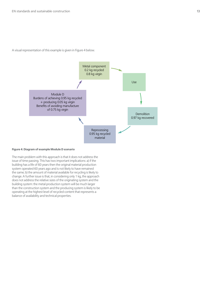A visual representation of this example is given in Figure 4 below.



#### **Figure 4: Diagram of example Module D scenario**

The main problem with this approach is that it does not address the issue of time passing. This has two important implications: a) if the building has a life of 60 years then the original material production system operated 60 years ago and is not likely to have remained the same; b) the amount of material available for recycling is likely to change. A further issue is that, in considering only 1 kg, the approach does not address the relative sizes of the originating system and the building system: the metal production system will be much larger than the construction system and the producing system is likely to be operating at the highest level of recycled content that represents a balance of availability and technical properties.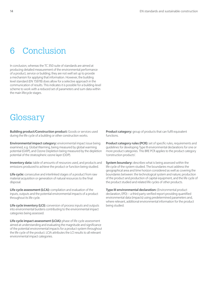### 6 Conclusion

In conclusion, whereas the TC 350 suite of standards are aimed at producing detailed measurement of the environmental performance of a product, service or building; they are not well set up to provide a mechanism for applying that information. However, the building level standard (EN 15978) does allow for a selective approach in the communication of results. This indicates it is possible for a building-level scheme to work with a reduced set of parameters and sum data within the main lifecycle stages.

### **Glossary**

**Building product/Construction product:** Goods or services used during the life cycle of a building or other construction works.

**Environmental impact category:** environmental impact issue being examined, e.g. Global Warming, being measured by global warming potential (GWP), and Ozone Depletion being measured by the depletion potential of the stratospheric ozone layer (ODP).

**Inventory data:** table of amounts of resources used, and products and emissions produced to achieve the product or function being studied.

**Life cycle:** consecutive and interlinked stages of a product from raw material acquisition or generation of natural resources to the final disposal.

**Life cycle assessment (LCA):** compilation and evaluation of the inputs, outputs and the potential environmental impacts of a product throughout its life cycle.

**Life cycle inventory (LCI):** conversion of process inputs and outputs into environmental burdens contributing to the environmental impact categories being assessed.

Life cycle impact assessment (LCIA): phase of life cycle assessment aimed at understanding and evaluating the magnitude and significance of the potential environmental impacts for a product system throughout the life cycle of the product. LCIA attributes the LCI results to all relevant environmental impact categories.

**Product category:** group of products that can fulfil equivalent functions.

**Product category rules (PCR):** set of specific rules, requirements and guidelines for developing Type III environmental declarations for one or more product categories. This BRE PCR applies to the product category 'construction products'.

**System boundary:** describes what is being assessed within the life cycle of the system studied. The boundaries must address the geographical area and time horizon considered as well as covering the boundaries between: the technological system and nature; production of the product and production of capital equipment, and the life cycle of the product studied and related life cycles of other products.

**Type III environmental declaration:** (Environmental product declaration, EPD) – a third party verified report providing quantified environmental data (impacts) using predetermined parameters and, where relevant, additional environmental information for the product being studied.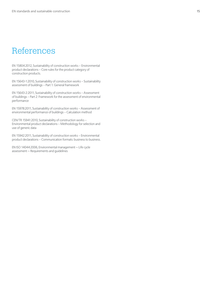### References

EN 15804:2012, Sustainability of construction works – Environmental product declarations – Core rules for the product category of construction products.

EN 15643-1:2010, Sustainability of construction works – Sustainability assessment of buildings – Part 1: General framework

EN 15643-2:2011, Sustainability of construction works – Assessment of buildings – Part 2: Framework for the assessment of environmental performance

EN 15978:2011, Sustainability of construction works – Assessment of environmental performance of buildings – Calculation method

CEN/TR 15941:2010, Sustainability of construction works – Environmental product declarations – Methodology for selection and use of generic data

EN 15942:2011, Sustainability of construction works – Environmental product declarations – Communication formats: business to business.

EN ISO 14044:2006, Environmental management — Life cycle assessment — Requirements and guidelines